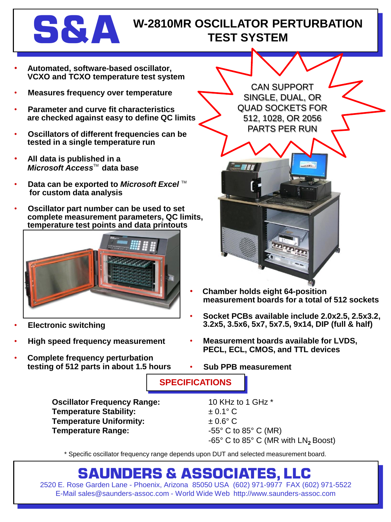

## **S & A** W-2810MR OSCILLATOR PERTURBATION **TEST SYSTEM**

- **Automated, software-based oscillator, VCXO and TCXO temperature test system**
- **Measures frequency over temperature**
- **Parameter and curve fit characteristics are checked against easy to define QC limits**
- **Oscillators of different frequencies can be tested in a single temperature run**
- **All data is published in a** *Microsoft Access*TM **data base**
- **Data can be exported to** *Microsoft Excel*™ **for custom data analysis**
- **Oscillator part number can be used to set complete measurement parameters, QC limits, temperature test points and data printouts**



- **Electronic switching**
- **High speed frequency measurement**
- **Complete frequency perturbation testing of 512 parts in about 1.5 hours**

CAN SUPPORT SINGLE, DUAL, OR QUAD SOCKETS FOR 512, 1028, OR 2056 PARTS PER RUN



- **Chamber holds eight 64-position measurement boards for a total of 512 sockets**
- **Socket PCBs available include 2.0x2.5, 2.5x3.2, 3.2x5, 3.5x6, 5x7, 5x7.5, 9x14, DIP (full & half)**
- **Measurement boards available for LVDS, PECL, ECL, CMOS, and TTL devices**
- **Sub PPB measurement**

**SPECIFICATIONS**

**Oscillator Frequency Range:** 10 KHz to 1 GHz \* **Temperature Stability:**  $\pm 0.1^{\circ} \text{ C}$ **Temperature Uniformity:**  $\pm 0.6^{\circ}$  C **Temperature Range:**  $-55^{\circ}$  C to 85° C (MR)

-65° C to 85° C (MR with LN<sub>2</sub> Boost)

\* Specific oscillator frequency range depends upon DUT and selected measurement board.

## **SAUNDERS & ASSOCIATES, LLC**

2520 E. Rose Garden Lane - Phoenix, Arizona 85050 USA (602) 971-9977 FAX (602) 971-5522 E-Mail sales@saunders-assoc.com - World Wide Web http://www.saunders-assoc.com